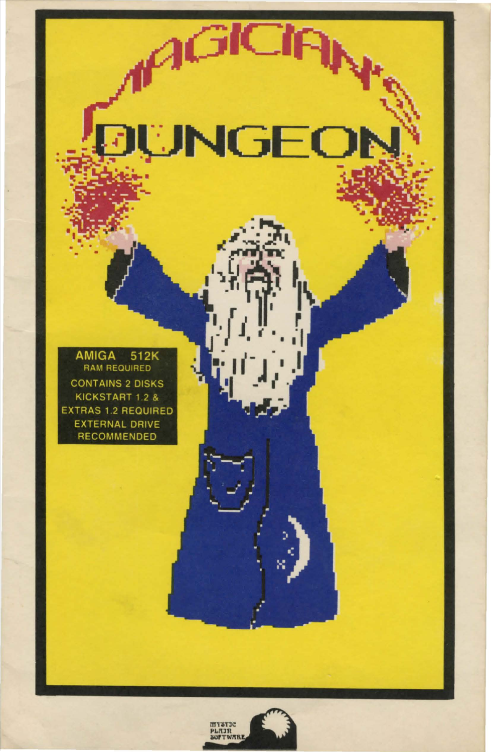**AMIGA** 512K **RAM REQUIRED CONTAINS 2 DISKS** KICKSTART 1.2 & **EXTRAS 1.2 REQUIRED EXTERNAL DRIVE** RECOMMENDED



FIC K

NGF

**J**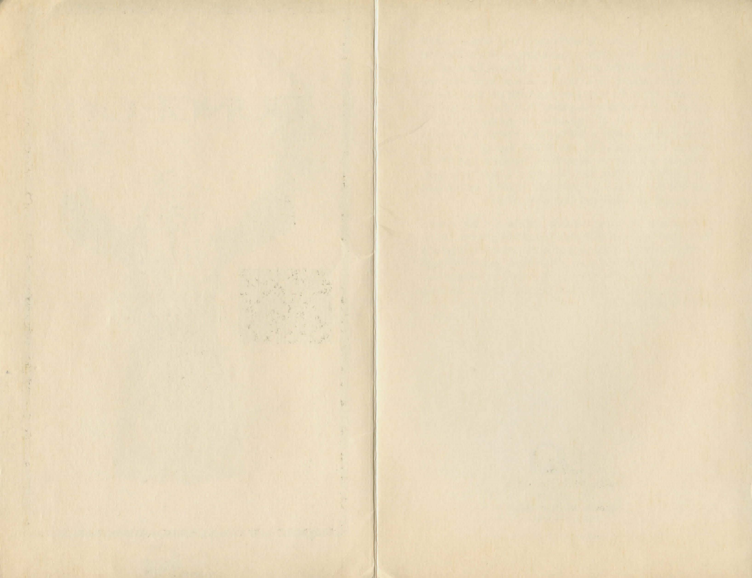